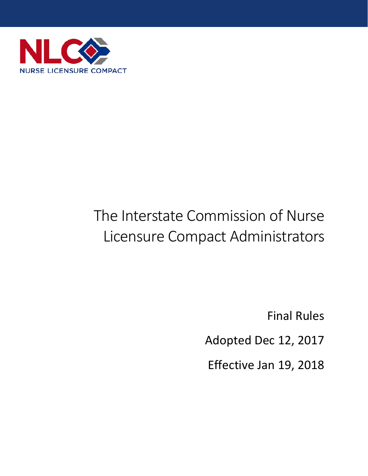

# The Interstate Commission of Nurse Licensure Compact Administrators

Final Rules

Adopted Dec 12, 2017

Effective Jan 19, 2018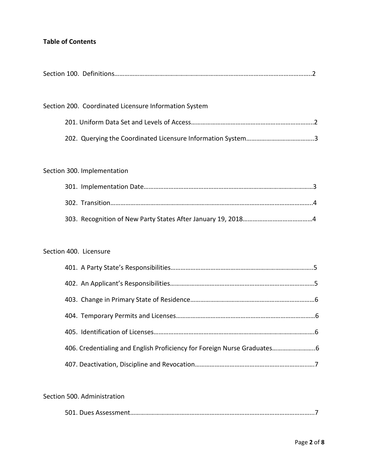# **Table of Contents**

|--|--|--|--|

| Section 200. Coordinated Licensure Information System |  |
|-------------------------------------------------------|--|
|                                                       |  |
|                                                       |  |

# Section 300. Implementation

## Section 400. Licensure

| 406. Credentialing and English Proficiency for Foreign Nurse Graduates |  |
|------------------------------------------------------------------------|--|
|                                                                        |  |

## Section 500. Administration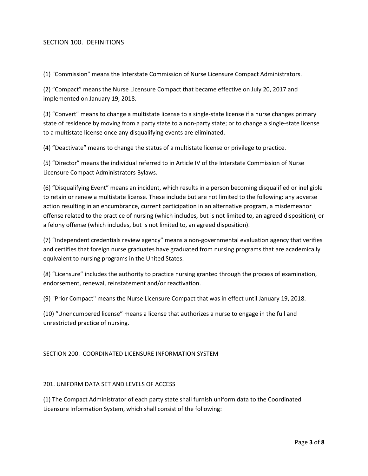#### SECTION 100. DEFINITIONS

(1) "Commission" means the Interstate Commission of Nurse Licensure Compact Administrators.

(2) "Compact" means the Nurse Licensure Compact that became effective on July 20, 2017 and implemented on January 19, 2018.

(3) "Convert" means to change a multistate license to a single-state license if a nurse changes primary state of residence by moving from a party state to a non-party state; or to change a single-state license to a multistate license once any disqualifying events are eliminated.

(4) "Deactivate" means to change the status of a multistate license or privilege to practice.

(5) "Director" means the individual referred to in Article IV of the Interstate Commission of Nurse Licensure Compact Administrators Bylaws.

(6) "Disqualifying Event" means an incident, which results in a person becoming disqualified or ineligible to retain or renew a multistate license. These include but are not limited to the following: any adverse action resulting in an encumbrance, current participation in an alternative program, a misdemeanor offense related to the practice of nursing (which includes, but is not limited to, an agreed disposition), or a felony offense (which includes, but is not limited to, an agreed disposition).

(7) "Independent credentials review agency" means a non-governmental evaluation agency that verifies and certifies that foreign nurse graduates have graduated from nursing programs that are academically equivalent to nursing programs in the United States.

(8) "Licensure" includes the authority to practice nursing granted through the process of examination, endorsement, renewal, reinstatement and/or reactivation.

(9) "Prior Compact" means the Nurse Licensure Compact that was in effect until January 19, 2018.

(10) "Unencumbered license" means a license that authorizes a nurse to engage in the full and unrestricted practice of nursing.

#### SECTION 200. COORDINATED LICENSURE INFORMATION SYSTEM

#### 201. UNIFORM DATA SET AND LEVELS OF ACCESS

(1) The Compact Administrator of each party state shall furnish uniform data to the Coordinated Licensure Information System, which shall consist of the following: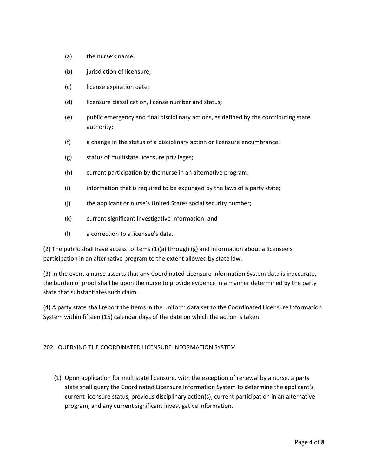- (a) the nurse's name;
- (b) jurisdiction of licensure;
- (c) license expiration date;
- (d) licensure classification, license number and status;
- (e) public emergency and final disciplinary actions, as defined by the contributing state authority;
- (f) a change in the status of a disciplinary action or licensure encumbrance;
- (g) status of multistate licensure privileges;
- (h) current participation by the nurse in an alternative program;
- (i) information that is required to be expunged by the laws of a party state;
- (j) the applicant or nurse's United States social security number;
- (k) current significant investigative information; and
- (l) a correction to a licensee's data.

(2) The public shall have access to items  $(1)(a)$  through (g) and information about a licensee's participation in an alternative program to the extent allowed by state law.

(3) In the event a nurse asserts that any Coordinated Licensure Information System data is inaccurate, the burden of proof shall be upon the nurse to provide evidence in a manner determined by the party state that substantiates such claim.

(4) A party state shall report the items in the uniform data set to the Coordinated Licensure Information System within fifteen (15) calendar days of the date on which the action is taken.

#### 202. QUERYING THE COORDINATED LICENSURE INFORMATION SYSTEM

(1) Upon application for multistate licensure, with the exception of renewal by a nurse, a party state shall query the Coordinated Licensure Information System to determine the applicant's current licensure status, previous disciplinary action(s), current participation in an alternative program, and any current significant investigative information.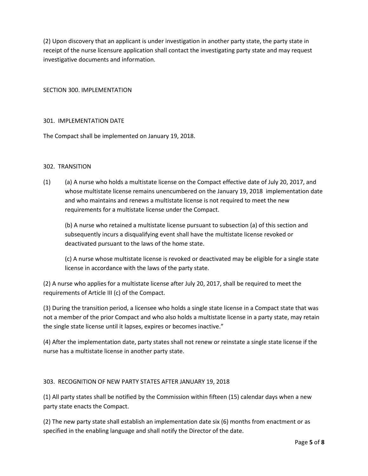(2) Upon discovery that an applicant is under investigation in another party state, the party state in receipt of the nurse licensure application shall contact the investigating party state and may request investigative documents and information.

SECTION 300. IMPLEMENTATION

#### 301. IMPLEMENTATION DATE

The Compact shall be implemented on January 19, 2018.

#### 302. TRANSITION

(1) (a) A nurse who holds a multistate license on the Compact effective date of July 20, 2017, and whose multistate license remains unencumbered on the January 19, 2018 implementation date and who maintains and renews a multistate license is not required to meet the new requirements for a multistate license under the Compact.

(b) A nurse who retained a multistate license pursuant to subsection (a) of this section and subsequently incurs a disqualifying event shall have the multistate license revoked or deactivated pursuant to the laws of the home state.

(c) A nurse whose multistate license is revoked or deactivated may be eligible for a single state license in accordance with the laws of the party state.

(2) A nurse who applies for a multistate license after July 20, 2017, shall be required to meet the requirements of Article III (c) of the Compact.

(3) During the transition period, a licensee who holds a single state license in a Compact state that was not a member of the prior Compact and who also holds a multistate license in a party state, may retain the single state license until it lapses, expires or becomes inactive."

(4) After the implementation date, party states shall not renew or reinstate a single state license if the nurse has a multistate license in another party state.

#### 303. RECOGNITION OF NEW PARTY STATES AFTER JANUARY 19, 2018

(1) All party states shall be notified by the Commission within fifteen (15) calendar days when a new party state enacts the Compact.

(2) The new party state shall establish an implementation date six (6) months from enactment or as specified in the enabling language and shall notify the Director of the date.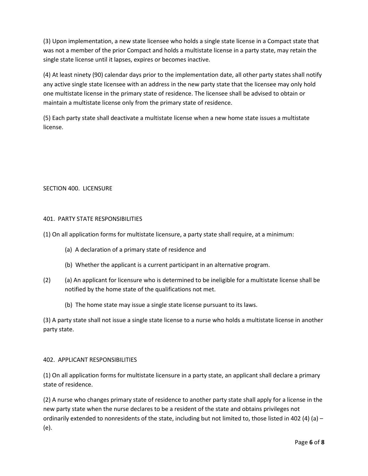(3) Upon implementation, a new state licensee who holds a single state license in a Compact state that was not a member of the prior Compact and holds a multistate license in a party state, may retain the single state license until it lapses, expires or becomes inactive.

(4) At least ninety (90) calendar days prior to the implementation date, all other party states shall notify any active single state licensee with an address in the new party state that the licensee may only hold one multistate license in the primary state of residence. The licensee shall be advised to obtain or maintain a multistate license only from the primary state of residence.

(5) Each party state shall deactivate a multistate license when a new home state issues a multistate license.

### SECTION 400. LICENSURE

#### 401. PARTY STATE RESPONSIBILITIES

- (1) On all application forms for multistate licensure, a party state shall require, at a minimum:
	- (a) A declaration of a primary state of residence and
	- (b) Whether the applicant is a current participant in an alternative program.
- (2) (a) An applicant for licensure who is determined to be ineligible for a multistate license shall be notified by the home state of the qualifications not met.
	- (b) The home state may issue a single state license pursuant to its laws.

(3) A party state shall not issue a single state license to a nurse who holds a multistate license in another party state.

#### 402. APPLICANT RESPONSIBILITIES

(1) On all application forms for multistate licensure in a party state, an applicant shall declare a primary state of residence.

(2) A nurse who changes primary state of residence to another party state shall apply for a license in the new party state when the nurse declares to be a resident of the state and obtains privileges not ordinarily extended to nonresidents of the state, including but not limited to, those listed in 402 (4) (a) – (e).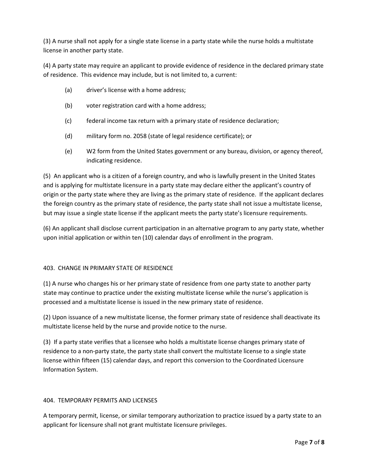(3) A nurse shall not apply for a single state license in a party state while the nurse holds a multistate license in another party state.

(4) A party state may require an applicant to provide evidence of residence in the declared primary state of residence. This evidence may include, but is not limited to, a current:

- (a) driver's license with a home address;
- (b) voter registration card with a home address;
- (c) federal income tax return with a primary state of residence declaration;
- (d) military form no. 2058 (state of legal residence certificate); or
- (e) W2 form from the United States government or any bureau, division, or agency thereof, indicating residence.

(5) An applicant who is a citizen of a foreign country, and who is lawfully present in the United States and is applying for multistate licensure in a party state may declare either the applicant's country of origin or the party state where they are living as the primary state of residence. If the applicant declares the foreign country as the primary state of residence, the party state shall not issue a multistate license, but may issue a single state license if the applicant meets the party state's licensure requirements.

(6) An applicant shall disclose current participation in an alternative program to any party state, whether upon initial application or within ten (10) calendar days of enrollment in the program.

#### 403. CHANGE IN PRIMARY STATE OF RESIDENCE

(1) A nurse who changes his or her primary state of residence from one party state to another party state may continue to practice under the existing multistate license while the nurse's application is processed and a multistate license is issued in the new primary state of residence.

(2) Upon issuance of a new multistate license, the former primary state of residence shall deactivate its multistate license held by the nurse and provide notice to the nurse.

(3) If a party state verifies that a licensee who holds a multistate license changes primary state of residence to a non-party state, the party state shall convert the multistate license to a single state license within fifteen (15) calendar days, and report this conversion to the Coordinated Licensure Information System.

#### 404. TEMPORARY PERMITS AND LICENSES

A temporary permit, license, or similar temporary authorization to practice issued by a party state to an applicant for licensure shall not grant multistate licensure privileges.